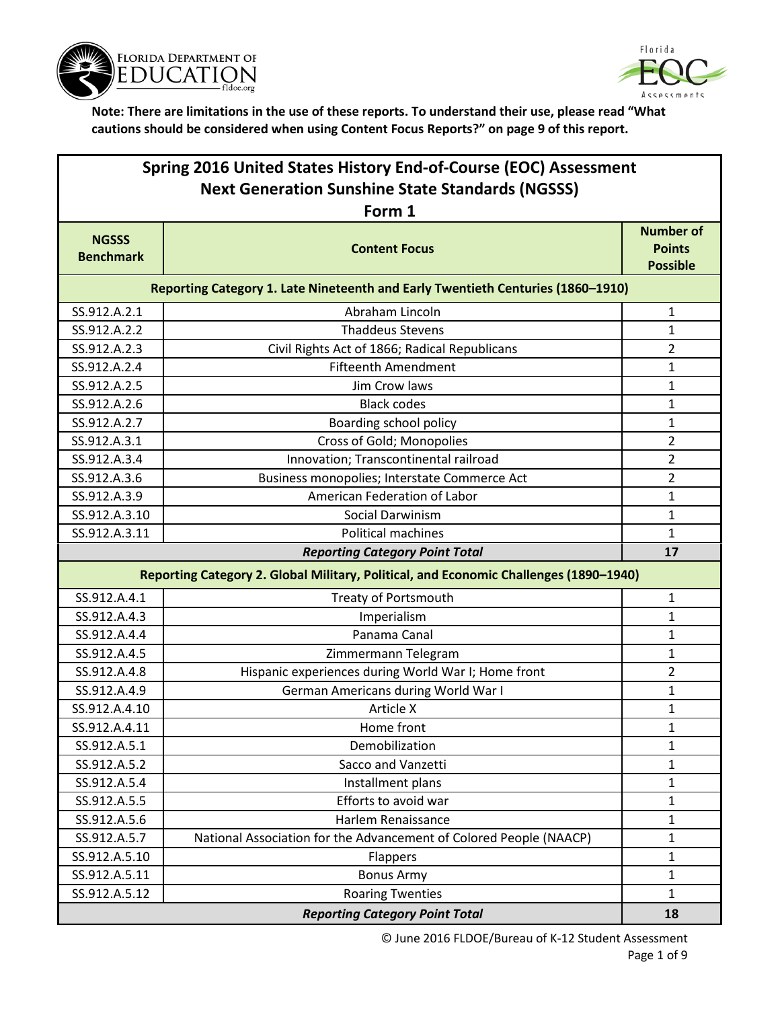



| Spring 2016 United States History End-of-Course (EOC) Assessment<br><b>Next Generation Sunshine State Standards (NGSSS)</b> |                                                                                       |                                                      |  |  |
|-----------------------------------------------------------------------------------------------------------------------------|---------------------------------------------------------------------------------------|------------------------------------------------------|--|--|
|                                                                                                                             | Form 1                                                                                |                                                      |  |  |
| <b>NGSSS</b><br><b>Benchmark</b>                                                                                            | <b>Content Focus</b>                                                                  | <b>Number of</b><br><b>Points</b><br><b>Possible</b> |  |  |
|                                                                                                                             | Reporting Category 1. Late Nineteenth and Early Twentieth Centuries (1860-1910)       |                                                      |  |  |
| SS.912.A.2.1                                                                                                                | Abraham Lincoln                                                                       | $\mathbf{1}$                                         |  |  |
| SS.912.A.2.2                                                                                                                | <b>Thaddeus Stevens</b>                                                               | $\mathbf{1}$                                         |  |  |
| SS.912.A.2.3                                                                                                                | Civil Rights Act of 1866; Radical Republicans                                         | $\overline{2}$                                       |  |  |
| SS.912.A.2.4                                                                                                                | <b>Fifteenth Amendment</b>                                                            | 1                                                    |  |  |
| SS.912.A.2.5                                                                                                                | Jim Crow laws                                                                         | $\mathbf{1}$                                         |  |  |
| SS.912.A.2.6                                                                                                                | <b>Black codes</b>                                                                    | $\mathbf{1}$                                         |  |  |
| SS.912.A.2.7                                                                                                                | Boarding school policy                                                                | 1                                                    |  |  |
| SS.912.A.3.1                                                                                                                | Cross of Gold; Monopolies                                                             | $\overline{2}$                                       |  |  |
| SS.912.A.3.4                                                                                                                | Innovation; Transcontinental railroad                                                 | $\overline{2}$                                       |  |  |
| SS.912.A.3.6                                                                                                                | Business monopolies; Interstate Commerce Act                                          | $\overline{2}$                                       |  |  |
| SS.912.A.3.9                                                                                                                | American Federation of Labor                                                          | $\mathbf{1}$                                         |  |  |
| SS.912.A.3.10                                                                                                               | Social Darwinism                                                                      | $\mathbf{1}$                                         |  |  |
| SS.912.A.3.11                                                                                                               | <b>Political machines</b>                                                             | $\mathbf{1}$                                         |  |  |
|                                                                                                                             | <b>Reporting Category Point Total</b>                                                 |                                                      |  |  |
|                                                                                                                             | Reporting Category 2. Global Military, Political, and Economic Challenges (1890-1940) |                                                      |  |  |
| SS.912.A.4.1                                                                                                                | <b>Treaty of Portsmouth</b>                                                           | $\mathbf{1}$                                         |  |  |
| SS.912.A.4.3                                                                                                                | Imperialism                                                                           | $\mathbf{1}$                                         |  |  |
| SS.912.A.4.4                                                                                                                | Panama Canal                                                                          | 1                                                    |  |  |
| SS.912.A.4.5                                                                                                                | Zimmermann Telegram                                                                   | $\mathbf{1}$                                         |  |  |
| SS.912.A.4.8                                                                                                                | Hispanic experiences during World War I; Home front                                   | $\overline{2}$                                       |  |  |
| SS.912.A.4.9                                                                                                                | German Americans during World War I                                                   | 1                                                    |  |  |
| SS.912.A.4.10                                                                                                               | Article X                                                                             | $\mathbf{1}$                                         |  |  |
| SS.912.A.4.11                                                                                                               | Home front                                                                            | $\mathbf{1}$                                         |  |  |
| SS.912.A.5.1                                                                                                                | Demobilization                                                                        | 1                                                    |  |  |
| SS.912.A.5.2                                                                                                                | Sacco and Vanzetti                                                                    | 1                                                    |  |  |
| SS.912.A.5.4                                                                                                                | Installment plans                                                                     | $\mathbf{1}$                                         |  |  |
| SS.912.A.5.5                                                                                                                | Efforts to avoid war                                                                  | $\mathbf{1}$                                         |  |  |
| SS.912.A.5.6                                                                                                                | Harlem Renaissance                                                                    | $\mathbf{1}$                                         |  |  |
| SS.912.A.5.7                                                                                                                | National Association for the Advancement of Colored People (NAACP)                    | $\mathbf{1}$                                         |  |  |
| SS.912.A.5.10                                                                                                               | Flappers                                                                              | 1                                                    |  |  |
| SS.912.A.5.11                                                                                                               | <b>Bonus Army</b>                                                                     | $\mathbf{1}$                                         |  |  |
| SS.912.A.5.12                                                                                                               | <b>Roaring Twenties</b>                                                               | $\mathbf{1}$                                         |  |  |
| <b>Reporting Category Point Total</b>                                                                                       |                                                                                       | 18                                                   |  |  |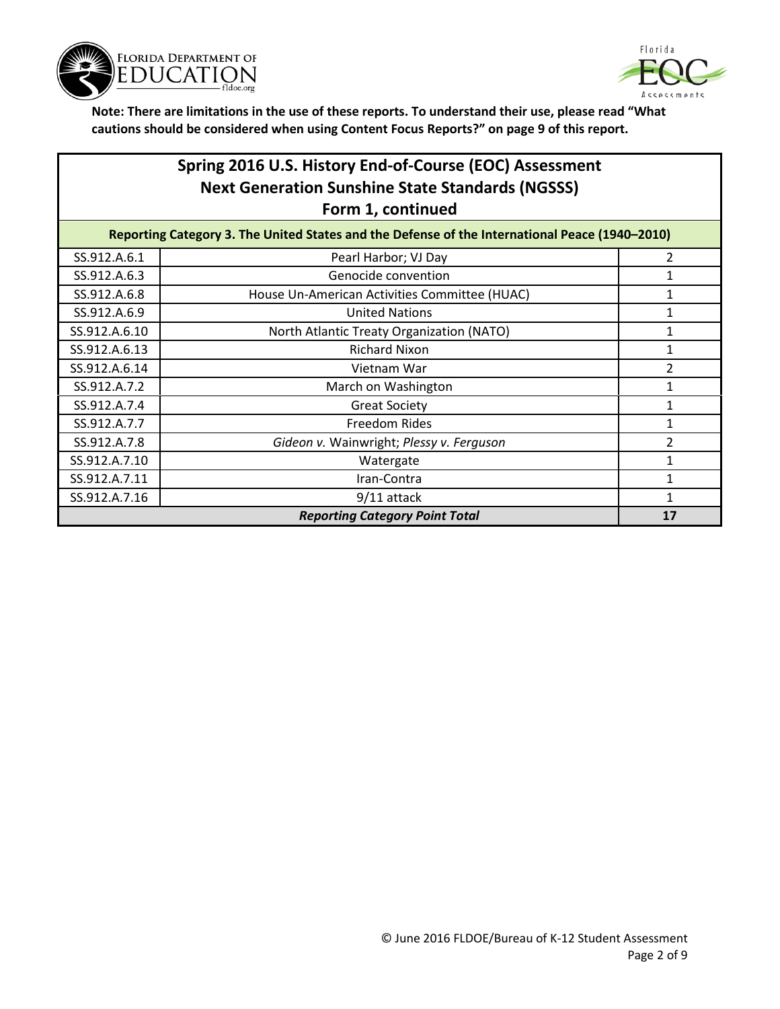



# **Spring 2016 U.S. History End-of-Course (EOC) Assessment Next Generation Sunshine State Standards (NGSSS) Form 1, continued**

| Reporting Category 3. The United States and the Defense of the International Peace (1940-2010) |                                               |                |
|------------------------------------------------------------------------------------------------|-----------------------------------------------|----------------|
| SS.912.A.6.1                                                                                   | Pearl Harbor; VJ Day                          | $\mathcal{P}$  |
| SS.912.A.6.3                                                                                   | Genocide convention                           |                |
| SS.912.A.6.8                                                                                   | House Un-American Activities Committee (HUAC) |                |
| SS.912.A.6.9                                                                                   | <b>United Nations</b>                         |                |
| SS.912.A.6.10                                                                                  | North Atlantic Treaty Organization (NATO)     |                |
| SS.912.A.6.13                                                                                  | <b>Richard Nixon</b>                          |                |
| SS.912.A.6.14                                                                                  | Vietnam War                                   | $\overline{2}$ |
| SS.912.A.7.2                                                                                   | March on Washington                           |                |
| SS.912.A.7.4                                                                                   | <b>Great Society</b>                          |                |
| SS.912.A.7.7                                                                                   | <b>Freedom Rides</b>                          |                |
| SS.912.A.7.8                                                                                   | Gideon v. Wainwright; Plessy v. Ferguson      | 2              |
| SS.912.A.7.10                                                                                  | Watergate                                     |                |
| SS.912.A.7.11                                                                                  | Iran-Contra                                   |                |
| SS.912.A.7.16                                                                                  | $9/11$ attack                                 |                |
|                                                                                                | <b>Reporting Category Point Total</b>         | 17             |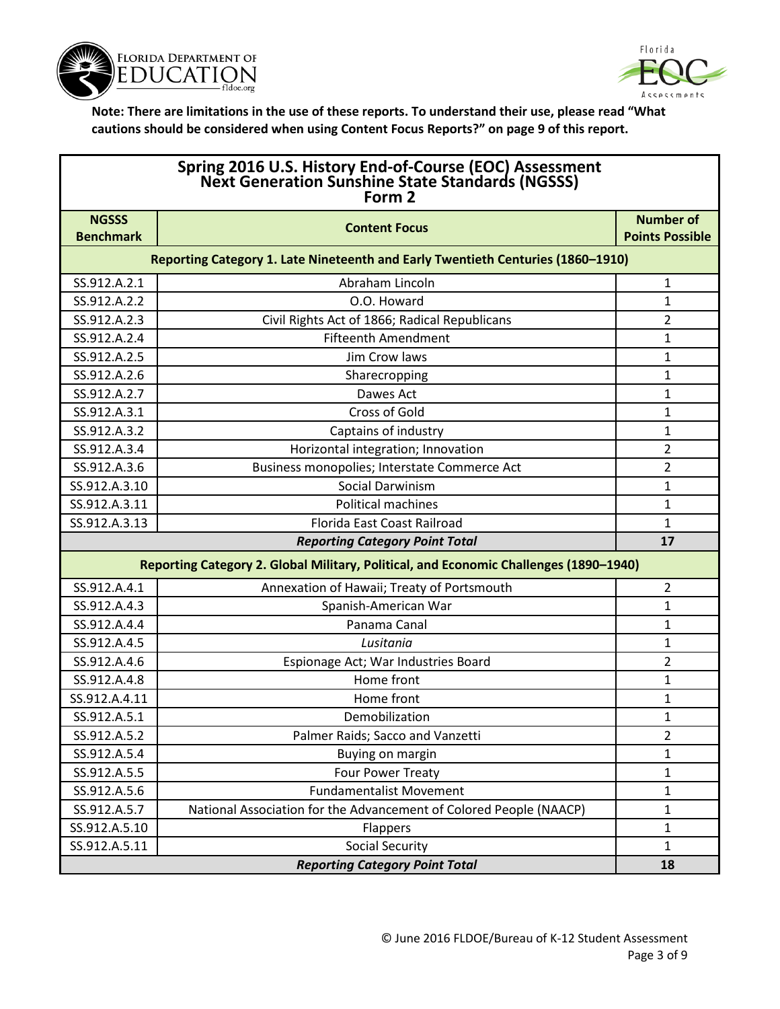



| Spring 2016 U.S. History End-of-Course (EOC) Assessment<br>Next Generation Sunshine State Standards (NGSSS)<br>Form 2 |                                                                                 |                        |
|-----------------------------------------------------------------------------------------------------------------------|---------------------------------------------------------------------------------|------------------------|
| <b>NGSSS</b>                                                                                                          |                                                                                 | <b>Number of</b>       |
| <b>Benchmark</b>                                                                                                      | <b>Content Focus</b>                                                            | <b>Points Possible</b> |
|                                                                                                                       | Reporting Category 1. Late Nineteenth and Early Twentieth Centuries (1860-1910) |                        |
| SS.912.A.2.1                                                                                                          | Abraham Lincoln                                                                 | 1                      |
| SS.912.A.2.2                                                                                                          | O.O. Howard                                                                     | 1                      |
| SS.912.A.2.3                                                                                                          | Civil Rights Act of 1866; Radical Republicans                                   | 2                      |
| SS.912.A.2.4                                                                                                          | <b>Fifteenth Amendment</b>                                                      | 1                      |
| SS.912.A.2.5                                                                                                          | Jim Crow laws                                                                   | 1                      |
| SS.912.A.2.6                                                                                                          | Sharecropping                                                                   | 1                      |
| SS.912.A.2.7                                                                                                          | Dawes Act                                                                       | 1                      |
| SS.912.A.3.1                                                                                                          | <b>Cross of Gold</b>                                                            | 1                      |
| SS.912.A.3.2                                                                                                          | Captains of industry                                                            | 1                      |
| SS.912.A.3.4                                                                                                          | Horizontal integration; Innovation                                              | 2                      |
| SS.912.A.3.6                                                                                                          | Business monopolies; Interstate Commerce Act                                    | 2                      |
| SS.912.A.3.10                                                                                                         | <b>Social Darwinism</b>                                                         | 1                      |
| SS.912.A.3.11                                                                                                         | <b>Political machines</b>                                                       | 1                      |
| SS.912.A.3.13                                                                                                         | Florida East Coast Railroad                                                     | $\mathbf{1}$           |
|                                                                                                                       | <b>Reporting Category Point Total</b>                                           | 17                     |
| Reporting Category 2. Global Military, Political, and Economic Challenges (1890-1940)                                 |                                                                                 |                        |
| SS.912.A.4.1                                                                                                          | Annexation of Hawaii; Treaty of Portsmouth                                      | 2                      |
| SS.912.A.4.3                                                                                                          | Spanish-American War                                                            | $\mathbf{1}$           |
| SS.912.A.4.4                                                                                                          | Panama Canal                                                                    | 1                      |
| SS.912.A.4.5                                                                                                          | Lusitania                                                                       | 1                      |
| SS.912.A.4.6                                                                                                          | Espionage Act; War Industries Board                                             | 2                      |
| SS.912.A.4.8                                                                                                          | Home front                                                                      | 1                      |
| SS.912.A.4.11                                                                                                         | Home front                                                                      | 1                      |
| SS.912.A.5.1                                                                                                          | Demobilization                                                                  | 1                      |
| SS.912.A.5.2                                                                                                          | Palmer Raids; Sacco and Vanzetti                                                | 2                      |
| SS.912.A.5.4                                                                                                          | Buying on margin                                                                | 1                      |
| SS.912.A.5.5                                                                                                          | Four Power Treaty                                                               | 1                      |
| SS.912.A.5.6                                                                                                          | <b>Fundamentalist Movement</b>                                                  | 1                      |
| SS.912.A.5.7                                                                                                          | National Association for the Advancement of Colored People (NAACP)              | 1                      |
| SS.912.A.5.10                                                                                                         | Flappers                                                                        | 1                      |
| SS.912.A.5.11                                                                                                         | <b>Social Security</b>                                                          | 1                      |

*Reporting Category Point Total* **18**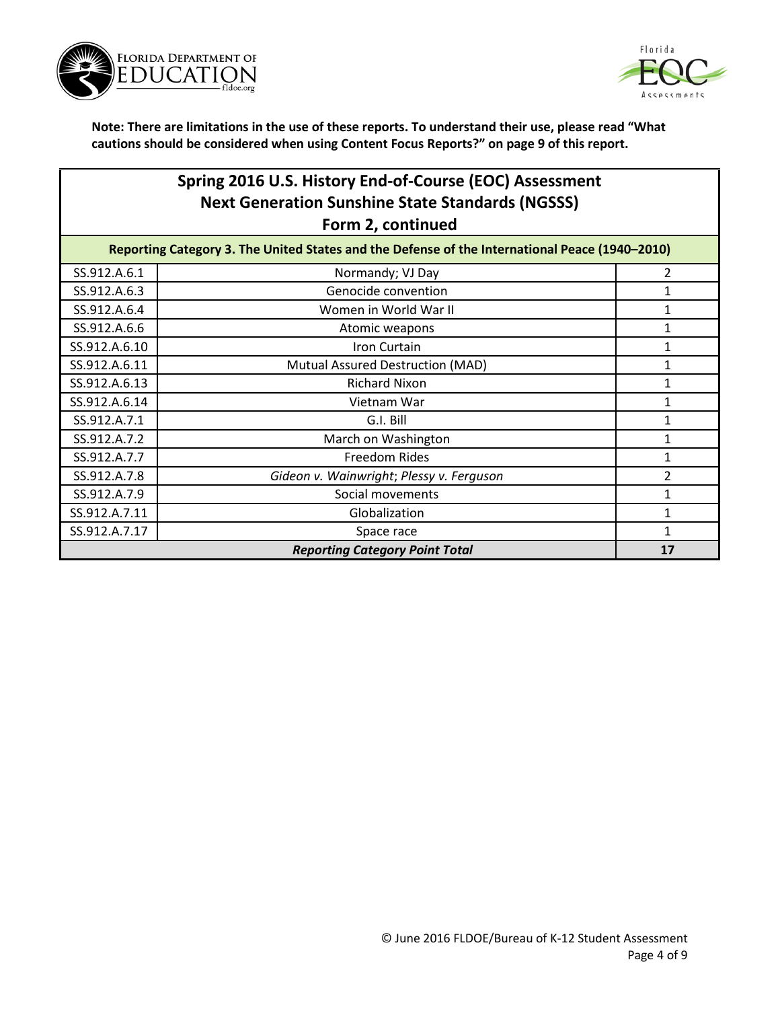



### **Spring 2016 U.S. History End-of-Course (EOC) Assessment Next Generation Sunshine State Standards (NGSSS) Form 2, continued**

| Reporting Category 3. The United States and the Defense of the International Peace (1940-2010) |                                          |                |
|------------------------------------------------------------------------------------------------|------------------------------------------|----------------|
| SS.912.A.6.1                                                                                   | Normandy; VJ Day                         | 2              |
| SS.912.A.6.3                                                                                   | Genocide convention                      |                |
| SS.912.A.6.4                                                                                   | Women in World War II                    |                |
| SS.912.A.6.6                                                                                   | Atomic weapons                           |                |
| SS.912.A.6.10                                                                                  | Iron Curtain                             |                |
| SS.912.A.6.11                                                                                  | Mutual Assured Destruction (MAD)         |                |
| SS.912.A.6.13                                                                                  | <b>Richard Nixon</b>                     |                |
| SS.912.A.6.14                                                                                  | Vietnam War                              |                |
| SS.912.A.7.1                                                                                   | G.I. Bill                                |                |
| SS.912.A.7.2                                                                                   | March on Washington                      |                |
| SS.912.A.7.7                                                                                   | Freedom Rides                            |                |
| SS.912.A.7.8                                                                                   | Gideon v. Wainwright; Plessy v. Ferguson | $\overline{2}$ |
| SS.912.A.7.9                                                                                   | Social movements                         |                |
| SS.912.A.7.11                                                                                  | Globalization                            |                |
| SS.912.A.7.17                                                                                  | Space race                               |                |
| <b>Reporting Category Point Total</b>                                                          |                                          | 17             |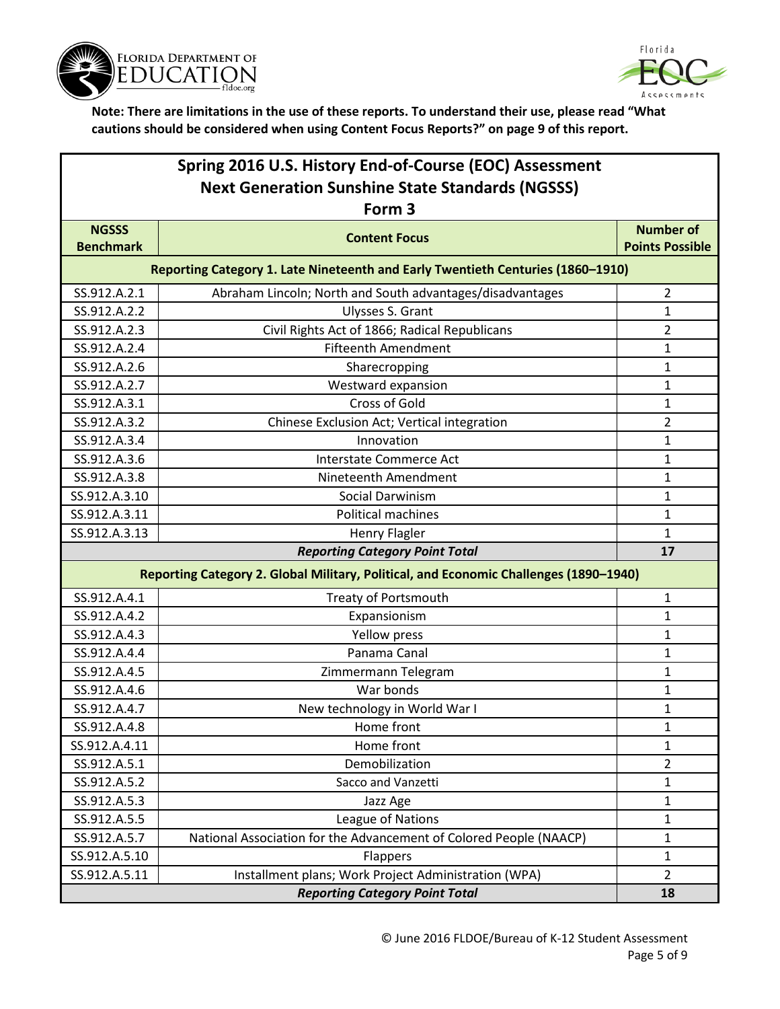



| Spring 2016 U.S. History End-of-Course (EOC) Assessment<br><b>Next Generation Sunshine State Standards (NGSSS)</b> |                                                                                 |                        |  |
|--------------------------------------------------------------------------------------------------------------------|---------------------------------------------------------------------------------|------------------------|--|
|                                                                                                                    | Form 3                                                                          |                        |  |
| <b>NGSSS</b>                                                                                                       | <b>Content Focus</b>                                                            | <b>Number of</b>       |  |
| <b>Benchmark</b>                                                                                                   |                                                                                 | <b>Points Possible</b> |  |
|                                                                                                                    | Reporting Category 1. Late Nineteenth and Early Twentieth Centuries (1860-1910) |                        |  |
| SS.912.A.2.1                                                                                                       | Abraham Lincoln; North and South advantages/disadvantages                       | $\overline{2}$         |  |
| SS.912.A.2.2                                                                                                       | Ulysses S. Grant                                                                | 1                      |  |
| SS.912.A.2.3                                                                                                       | Civil Rights Act of 1866; Radical Republicans                                   | $\overline{2}$         |  |
| SS.912.A.2.4                                                                                                       | <b>Fifteenth Amendment</b>                                                      | 1                      |  |
| SS.912.A.2.6                                                                                                       | Sharecropping                                                                   | 1                      |  |
| SS.912.A.2.7                                                                                                       | Westward expansion                                                              | $\mathbf{1}$           |  |
| SS.912.A.3.1                                                                                                       | <b>Cross of Gold</b>                                                            | 1                      |  |
| SS.912.A.3.2                                                                                                       | Chinese Exclusion Act; Vertical integration                                     | $\overline{2}$         |  |
| SS.912.A.3.4                                                                                                       | Innovation                                                                      | 1                      |  |
| SS.912.A.3.6                                                                                                       | <b>Interstate Commerce Act</b>                                                  | 1                      |  |
| SS.912.A.3.8                                                                                                       | Nineteenth Amendment                                                            | 1                      |  |
| SS.912.A.3.10                                                                                                      | <b>Social Darwinism</b>                                                         | $\mathbf{1}$           |  |
| SS.912.A.3.11                                                                                                      | <b>Political machines</b>                                                       | 1                      |  |
| SS.912.A.3.13                                                                                                      | <b>Henry Flagler</b>                                                            | 1                      |  |
|                                                                                                                    | <b>Reporting Category Point Total</b>                                           | 17                     |  |
| Reporting Category 2. Global Military, Political, and Economic Challenges (1890-1940)                              |                                                                                 |                        |  |
| SS.912.A.4.1                                                                                                       | Treaty of Portsmouth                                                            | $\mathbf{1}$           |  |
| SS.912.A.4.2                                                                                                       | Expansionism                                                                    | 1                      |  |
| SS.912.A.4.3                                                                                                       | Yellow press                                                                    | 1                      |  |
| SS.912.A.4.4                                                                                                       | Panama Canal                                                                    | 1                      |  |
| SS.912.A.4.5                                                                                                       | Zimmermann Telegram                                                             | $\mathbf{1}$           |  |
| SS.912.A.4.6                                                                                                       | War bonds                                                                       | $\mathbf{1}$           |  |
| SS.912.A.4.7                                                                                                       | New technology in World War I                                                   | 1                      |  |
| SS.912.A.4.8                                                                                                       | Home front                                                                      | 1                      |  |
| SS.912.A.4.11                                                                                                      | Home front                                                                      | $\mathbf{1}$           |  |
| SS.912.A.5.1                                                                                                       | Demobilization                                                                  | $\overline{2}$         |  |
| SS.912.A.5.2                                                                                                       | Sacco and Vanzetti                                                              | $\mathbf{1}$           |  |
| SS.912.A.5.3                                                                                                       | Jazz Age                                                                        | $\mathbf{1}$           |  |
| SS.912.A.5.5                                                                                                       | League of Nations                                                               | $\mathbf{1}$           |  |
| SS.912.A.5.7                                                                                                       | National Association for the Advancement of Colored People (NAACP)              | $\mathbf{1}$           |  |
| SS.912.A.5.10                                                                                                      | Flappers                                                                        | $\mathbf{1}$           |  |
| SS.912.A.5.11                                                                                                      | Installment plans; Work Project Administration (WPA)                            | $\overline{2}$         |  |
| <b>Reporting Category Point Total</b>                                                                              |                                                                                 | 18                     |  |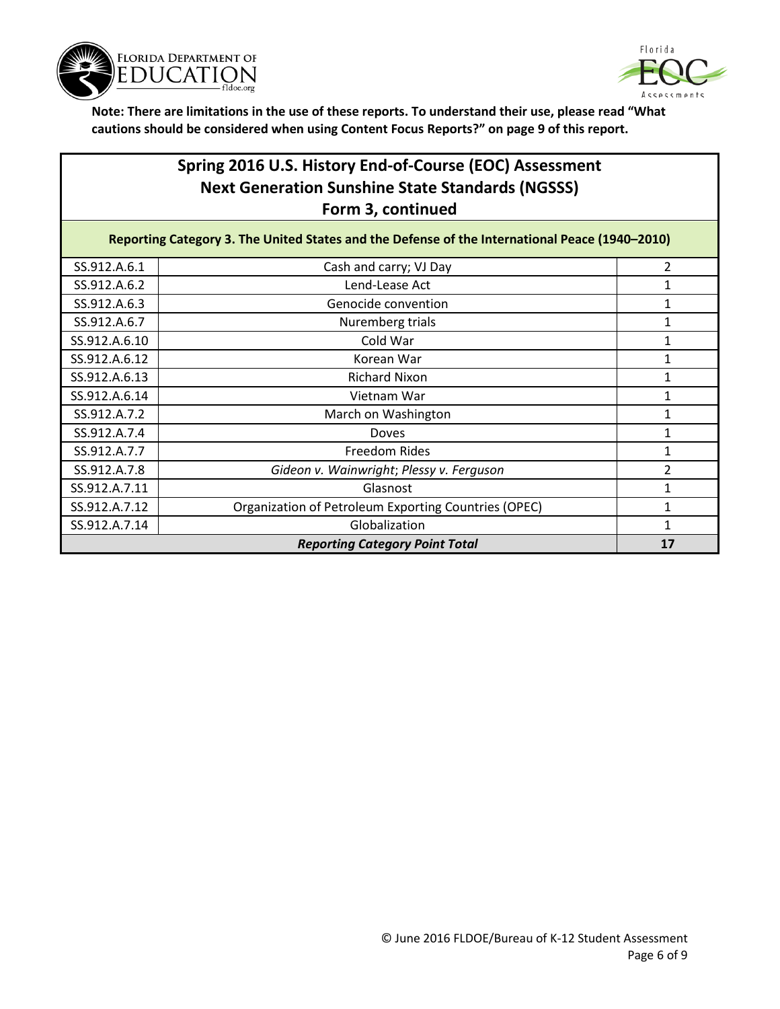



## **Spring 2016 U.S. History End-of-Course (EOC) Assessment Next Generation Sunshine State Standards (NGSSS) Form 3, continued**

| Reporting Category 3. The United States and the Defense of the International Peace (1940-2010) |                                                      |    |
|------------------------------------------------------------------------------------------------|------------------------------------------------------|----|
| SS.912.A.6.1                                                                                   | Cash and carry; VJ Day                               | 2  |
| SS.912.A.6.2                                                                                   | Lend-Lease Act                                       |    |
| SS.912.A.6.3                                                                                   | Genocide convention                                  |    |
| SS.912.A.6.7                                                                                   | Nuremberg trials                                     |    |
| SS.912.A.6.10                                                                                  | Cold War                                             |    |
| SS.912.A.6.12                                                                                  | Korean War                                           |    |
| SS.912.A.6.13                                                                                  | <b>Richard Nixon</b>                                 |    |
| SS.912.A.6.14                                                                                  | Vietnam War                                          |    |
| SS.912.A.7.2                                                                                   | March on Washington                                  |    |
| SS.912.A.7.4                                                                                   | Doves                                                |    |
| SS.912.A.7.7                                                                                   | Freedom Rides                                        |    |
| SS.912.A.7.8                                                                                   | Gideon v. Wainwright; Plessy v. Ferguson             | 2  |
| SS.912.A.7.11                                                                                  | Glasnost                                             |    |
| SS.912.A.7.12                                                                                  | Organization of Petroleum Exporting Countries (OPEC) |    |
| SS.912.A.7.14                                                                                  | Globalization                                        |    |
| <b>Reporting Category Point Total</b>                                                          |                                                      | 17 |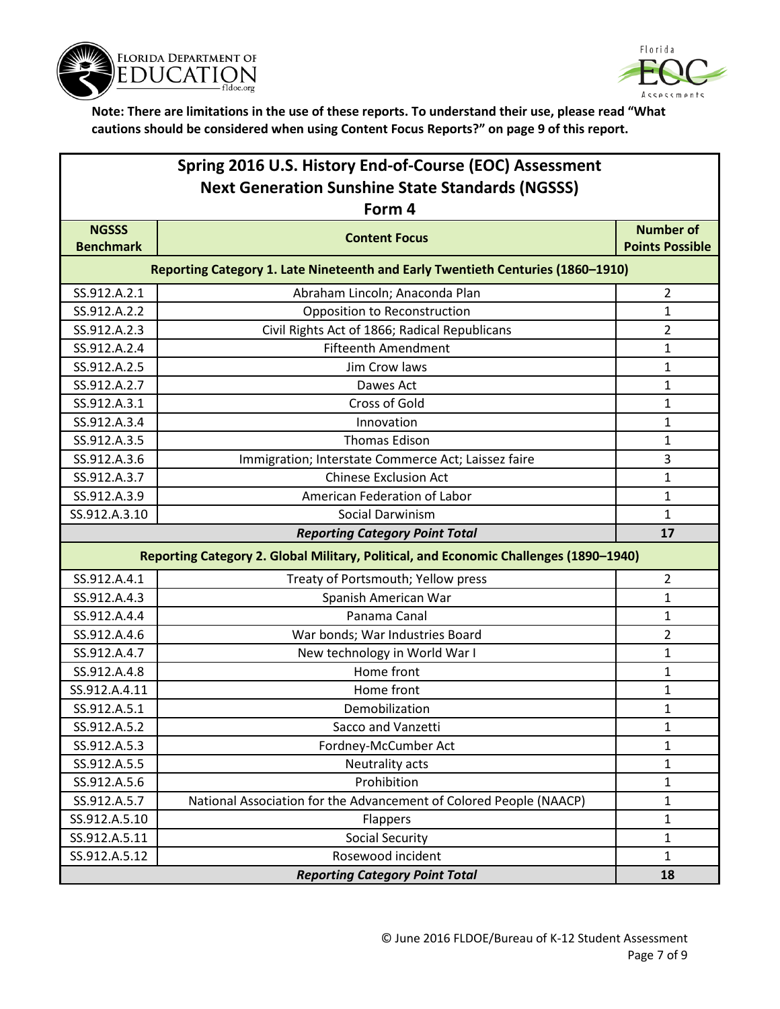



| Spring 2016 U.S. History End-of-Course (EOC) Assessment<br><b>Next Generation Sunshine State Standards (NGSSS)</b> |                                                                                 |                                            |
|--------------------------------------------------------------------------------------------------------------------|---------------------------------------------------------------------------------|--------------------------------------------|
|                                                                                                                    | Form 4                                                                          |                                            |
| <b>NGSSS</b><br><b>Benchmark</b>                                                                                   | <b>Content Focus</b>                                                            | <b>Number of</b><br><b>Points Possible</b> |
|                                                                                                                    | Reporting Category 1. Late Nineteenth and Early Twentieth Centuries (1860-1910) |                                            |
| SS.912.A.2.1                                                                                                       | Abraham Lincoln; Anaconda Plan                                                  | $\overline{2}$                             |
| SS.912.A.2.2                                                                                                       | Opposition to Reconstruction                                                    | 1                                          |
| SS.912.A.2.3                                                                                                       | Civil Rights Act of 1866; Radical Republicans                                   | 2                                          |
| SS.912.A.2.4                                                                                                       | <b>Fifteenth Amendment</b>                                                      | 1                                          |
| SS.912.A.2.5                                                                                                       | Jim Crow laws                                                                   | 1                                          |
| SS.912.A.2.7                                                                                                       | Dawes Act                                                                       | 1                                          |
| SS.912.A.3.1                                                                                                       | <b>Cross of Gold</b>                                                            | 1                                          |
| SS.912.A.3.4                                                                                                       | Innovation                                                                      | $\mathbf{1}$                               |
| SS.912.A.3.5                                                                                                       | <b>Thomas Edison</b>                                                            | 1                                          |
| SS.912.A.3.6                                                                                                       | Immigration; Interstate Commerce Act; Laissez faire                             | 3                                          |
| SS.912.A.3.7                                                                                                       | <b>Chinese Exclusion Act</b>                                                    | 1                                          |
| SS.912.A.3.9                                                                                                       | American Federation of Labor                                                    | 1                                          |
| SS.912.A.3.10                                                                                                      | <b>Social Darwinism</b>                                                         | 1                                          |
|                                                                                                                    | <b>Reporting Category Point Total</b>                                           | 17                                         |
| Reporting Category 2. Global Military, Political, and Economic Challenges (1890-1940)                              |                                                                                 |                                            |
| SS.912.A.4.1                                                                                                       | Treaty of Portsmouth; Yellow press                                              | $\overline{2}$                             |
| SS.912.A.4.3                                                                                                       | Spanish American War                                                            | $\mathbf{1}$                               |
| SS.912.A.4.4                                                                                                       | Panama Canal                                                                    | $\mathbf{1}$                               |
| SS.912.A.4.6                                                                                                       | War bonds; War Industries Board                                                 | $\overline{2}$                             |
| SS.912.A.4.7                                                                                                       | New technology in World War I                                                   | 1                                          |
| SS.912.A.4.8                                                                                                       | Home front                                                                      | $\mathbf{1}$                               |
| SS.912.A.4.11                                                                                                      | Home front                                                                      | 1                                          |
| SS.912.A.5.1                                                                                                       | Demobilization                                                                  | 1                                          |
| SS.912.A.5.2                                                                                                       | Sacco and Vanzetti                                                              | 1                                          |
| SS.912.A.5.3                                                                                                       | Fordney-McCumber Act                                                            | $\mathbf{1}$                               |

SS.912.A.5.5 SS.912.A.5.5 SS.912.A.5.5 SS.912.A.5.5 SS.912.A.5.5 SS.912.A.5.5 SS.912.A.5.5 SS.912.A.5.5 SS.912.A.5.5 SS.912.A.5.5 SS.912.A.5.5 SS.912.A.5.5 SS.912.A.5.5 SS.912.A.5.5 SS.912.A.5.5 SS.912.A.5.5 SS.912.A.5.5 S SS.912.A.5.6 Prohibition Prohibition 2012 SS.912.A.5.7 National Association for the Advancement of Colored People (NAACP) 1  $SS.912.A.5.10$  Flappers 1 SS.912.A.5.11 Social Security 1 Social Security 1 SS.912.A.5.12 Rosewood incident 1

*Reporting Category Point Total* **18**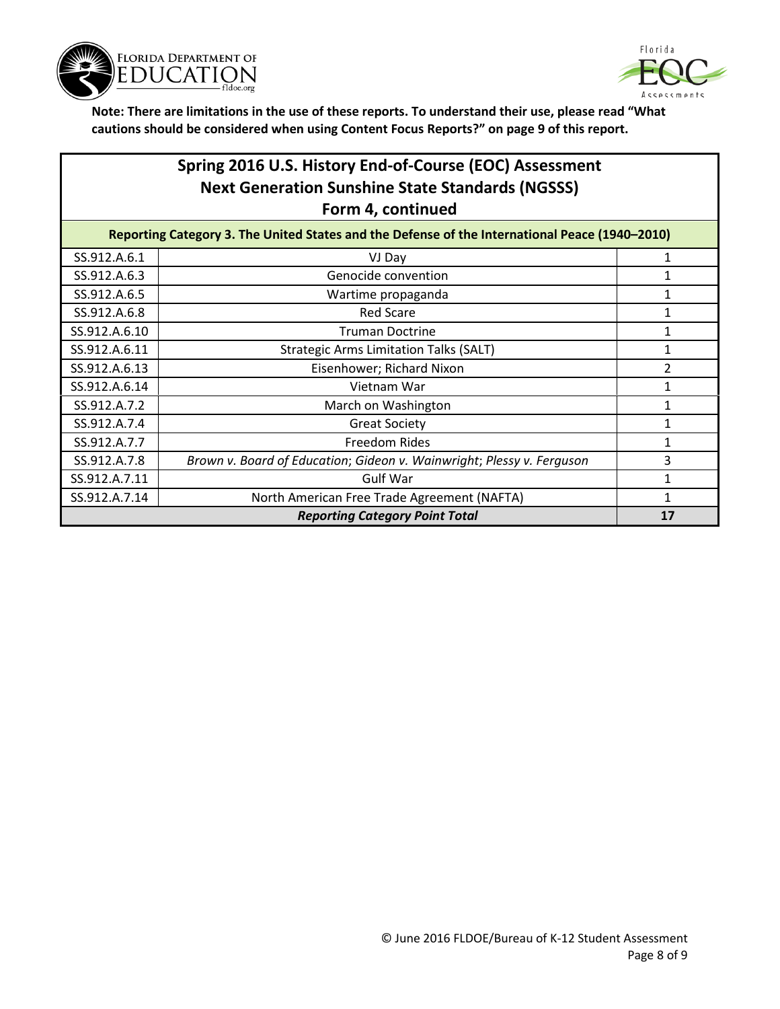



| Spring 2016 U.S. History End-of-Course (EOC) Assessment<br><b>Next Generation Sunshine State Standards (NGSSS)</b><br>Form 4, continued |                                                                       |    |
|-----------------------------------------------------------------------------------------------------------------------------------------|-----------------------------------------------------------------------|----|
| Reporting Category 3. The United States and the Defense of the International Peace (1940-2010)                                          |                                                                       |    |
| SS.912.A.6.1                                                                                                                            | VJ Day                                                                | 1  |
| SS.912.A.6.3                                                                                                                            | Genocide convention                                                   | 1  |
| SS.912.A.6.5                                                                                                                            | Wartime propaganda                                                    |    |
| SS.912.A.6.8                                                                                                                            | <b>Red Scare</b>                                                      | 1  |
| SS.912.A.6.10                                                                                                                           | <b>Truman Doctrine</b>                                                |    |
| SS.912.A.6.11                                                                                                                           | <b>Strategic Arms Limitation Talks (SALT)</b>                         |    |
| SS.912.A.6.13                                                                                                                           | Eisenhower; Richard Nixon                                             | 2  |
| SS.912.A.6.14                                                                                                                           | Vietnam War                                                           | 1  |
| SS.912.A.7.2                                                                                                                            | March on Washington                                                   | 1  |
| SS.912.A.7.4                                                                                                                            | <b>Great Society</b>                                                  | 1  |
| SS.912.A.7.7                                                                                                                            | <b>Freedom Rides</b>                                                  | 1  |
| SS.912.A.7.8                                                                                                                            | Brown v. Board of Education; Gideon v. Wainwright; Plessy v. Ferguson | 3  |
| SS.912.A.7.11                                                                                                                           | <b>Gulf War</b>                                                       | 1  |
| SS.912.A.7.14                                                                                                                           | North American Free Trade Agreement (NAFTA)                           |    |
| <b>Reporting Category Point Total</b>                                                                                                   |                                                                       | 17 |